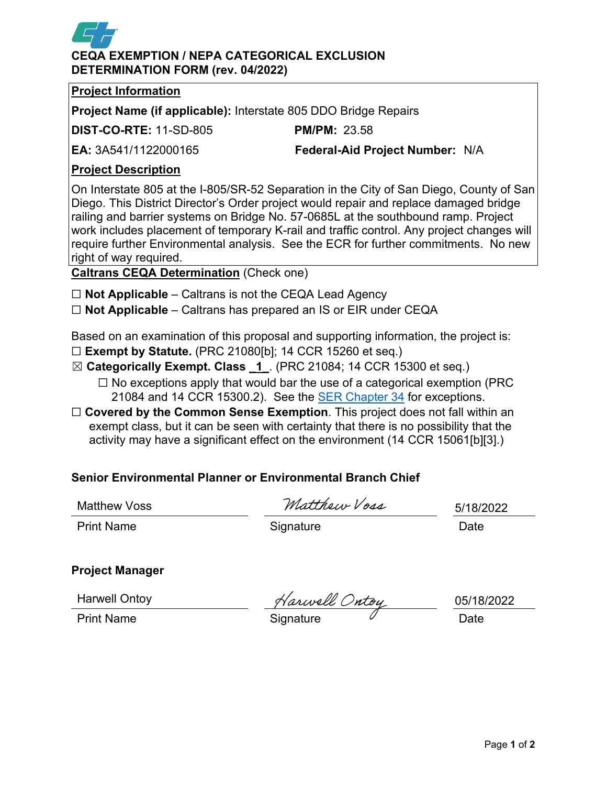# **CEQA EXEMPTION / NEPA CATEGORICAL EXCLUSION DETERMINATION FORM (rev. 04/2022)**

#### **Project Information**

**Project Name (if applicable):** Interstate 805 DDO Bridge Repairs

**DIST-CO-RTE:** 11-SD-805 **PM/PM:** 23.58

**EA:** 3A541/1122000165 **Federal-Aid Project Number:** N/A

## **Project Description**

On Interstate 805 at the I-805/SR-52 Separation in the City of San Diego, County of San Diego. This District Director's Order project would repair and replace damaged bridge railing and barrier systems on Bridge No. 57-0685L at the southbound ramp. Project work includes placement of temporary K-rail and traffic control. Any project changes will require further Environmental analysis. See the ECR for further commitments. No new right of way required.

**Caltrans CEQA Determination** (Check one)

☐ **Not Applicable** – Caltrans is not the CEQA Lead Agency

☐ **Not Applicable** – Caltrans has prepared an IS or EIR under CEQA

Based on an examination of this proposal and supporting information, the project is:

- ☐ **Exempt by Statute.** (PRC 21080[b]; 14 CCR 15260 et seq.)
- ☒ **Categorically Exempt. Class \_1\_**. (PRC 21084; 14 CCR 15300 et seq.)

 $\Box$  No exceptions apply that would bar the use of a categorical exemption (PRC 21084 and 14 CCR 15300.2). See the **SER Chapter 34** for exceptions.

□ **Covered by the Common Sense Exemption**. This project does not fall within an exempt class, but it can be seen with certainty that there is no possibility that the activity may have a significant effect on the environment (14 CCR 15061[b][3].)

## **Senior Environmental Planner or Environmental Branch Chief**

Matthew Voss

Matthew Voss

5/18/2022

Print Name **Signature Constant Construction** Constant Construction Construction Constant Constant Construction Constant Constant Construction Constant Constant Constant Construction Constant Constant Constant Constant Co

## **Project Manager**

Harwell Ontoy

Harwell Ontoy<br>
Print Name **Signature** Signature Date Date

05/18/2022